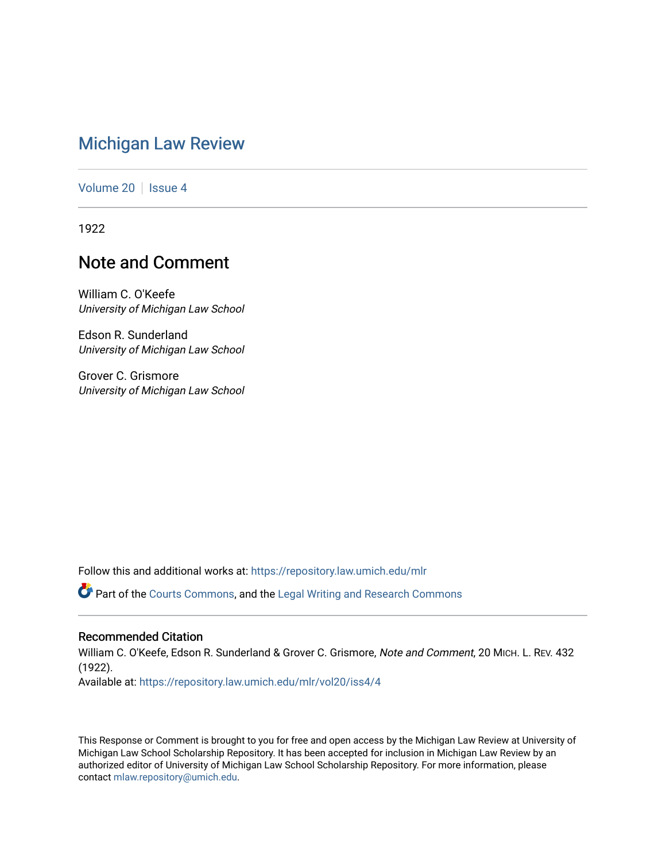## [Michigan Law Review](https://repository.law.umich.edu/mlr)

[Volume 20](https://repository.law.umich.edu/mlr/vol20) | [Issue 4](https://repository.law.umich.edu/mlr/vol20/iss4)

1922

## Note and Comment

William C. O'Keefe University of Michigan Law School

Edson R. Sunderland University of Michigan Law School

Grover C. Grismore University of Michigan Law School

Follow this and additional works at: [https://repository.law.umich.edu/mlr](https://repository.law.umich.edu/mlr?utm_source=repository.law.umich.edu%2Fmlr%2Fvol20%2Fiss4%2F4&utm_medium=PDF&utm_campaign=PDFCoverPages) 

 $\bullet$  Part of the [Courts Commons,](http://network.bepress.com/hgg/discipline/839?utm_source=repository.law.umich.edu%2Fmlr%2Fvol20%2Fiss4%2F4&utm_medium=PDF&utm_campaign=PDFCoverPages) and the [Legal Writing and Research Commons](http://network.bepress.com/hgg/discipline/614?utm_source=repository.law.umich.edu%2Fmlr%2Fvol20%2Fiss4%2F4&utm_medium=PDF&utm_campaign=PDFCoverPages)

### Recommended Citation

William C. O'Keefe, Edson R. Sunderland & Grover C. Grismore, Note and Comment, 20 MICH. L. REV. 432 (1922). Available at: [https://repository.law.umich.edu/mlr/vol20/iss4/4](https://repository.law.umich.edu/mlr/vol20/iss4/4?utm_source=repository.law.umich.edu%2Fmlr%2Fvol20%2Fiss4%2F4&utm_medium=PDF&utm_campaign=PDFCoverPages)

This Response or Comment is brought to you for free and open access by the Michigan Law Review at University of Michigan Law School Scholarship Repository. It has been accepted for inclusion in Michigan Law Review by an authorized editor of University of Michigan Law School Scholarship Repository. For more information, please contact [mlaw.repository@umich.edu](mailto:mlaw.repository@umich.edu).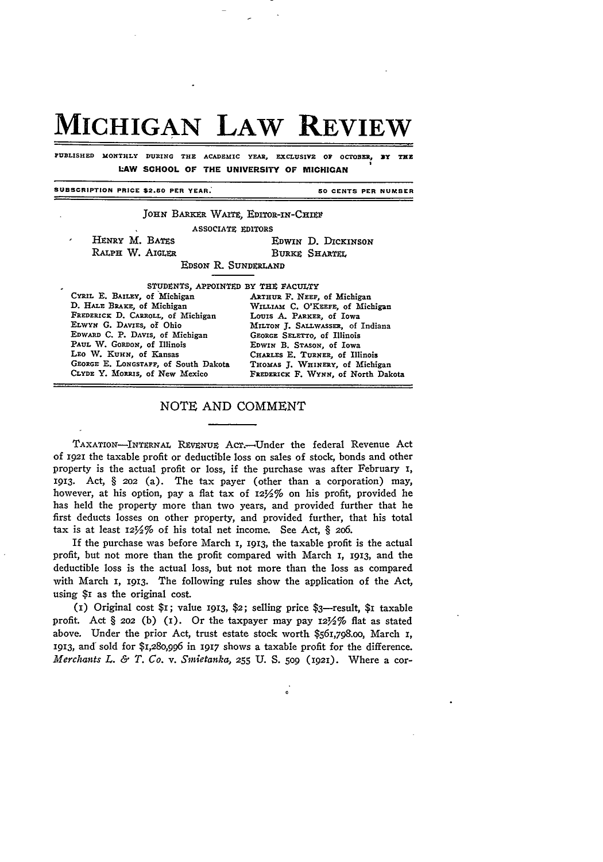# **MICHIGAN LAW REVIEW**

PUBLISHED MONTHLY DURING THE ACADEMIC YEAR, EXCLUSIVE OF OCTOBER, BY THE **LAW SCHOOL OF THE UNIVERSITY OF MICHICAN**

**SUBSCRIPTION PRICE \$2.50 PER YEAR. 50 CENTS PER NUMBER**

JOHN BARKER WAITE, EDITOR-IN-CHIEF

ASSOCIATE EDITORS

RALPH W. AIGLER **BURKE SHARTEL** 

HENRY M. BATES EDWIN **D.** DICKINSON

**EDSON** R. **SUNDERLAND**

**STUDENTS,** APPOINTED BY THE FACULTY

| CYRIL E. BAILEY, of Michigan         | ARTHUR F. NEEF. of Michigan        |
|--------------------------------------|------------------------------------|
| D. HALE BRAKE, of Michigan           | WILLIAM C. O'KEEFE, of Michigan    |
| FREDERICK D. CARROLL, of Michigan    | Louis A. PARKER, of Iowa           |
| ELWYN G. DAVIES, of Ohio             | MILTON J. SALLWASSER, of Indiana   |
| EDWARD C. P. DAVIS, of Michigan      | GEORGE SELETTO, of Illinois        |
| PAUL W. GORDON, of Illinois          | EDWIN B. STASON, of Iowa           |
| LEO W. KUHN, of Kansas               | CHARLES E. TURNER, of Illinois     |
| GEORGE E. LONGSTAFF, of South Dakota | THOMAS J. WHINERY, of Michigan     |
| CLYDE Y. MORRIS, of New Mexico       | FREDERICK F. WYNN. of North Dakota |
|                                      |                                    |

#### NOTE AND COMMENT

TAXATION-INTERNAL REVENUE ACT.-Under the federal Revenue Act of i921 the taxable profit or deductible loss on sales of stock, bonds and other property is the actual profit or loss, if the purchase was after February I, 1913. Act, § 2o2 (a). The tax payer (other than a corporation) may, however, at his option, pay a flat tax of **1232%** on his profit, provided he has held the property more than two years, and provided further that he first deducts losses on other property, and provided further, that his total **tax is** at least *1232%* of his total net income. See Act, **§** 206.

If the purchase was before March **I, 1913,** the taxable profit is the actual profit, but not more than the profit compared with March I, 1913, and the deductible loss is the actual loss, but not more than the loss as compared with March I, 1913. The following rules show the application of the Act, using \$1 as the original cost.

(I) Original cost **\$I;** value 1913, **\$2;** selling price \$3-result, \$r taxable profit. Act § 202 (b) (I). Or the taxpayer may pay 121/2% flat as stated above. Under the prior Act, trust estate stock worth \$561,798.oo, March **I, 1913,** and' sold for \$1,28o,996 in **1917** shows a taxable profit for the difference. *Merchants L. & T. Co. v. Smietanka,* **255 U. S.** *509* **(1921).** Where a cor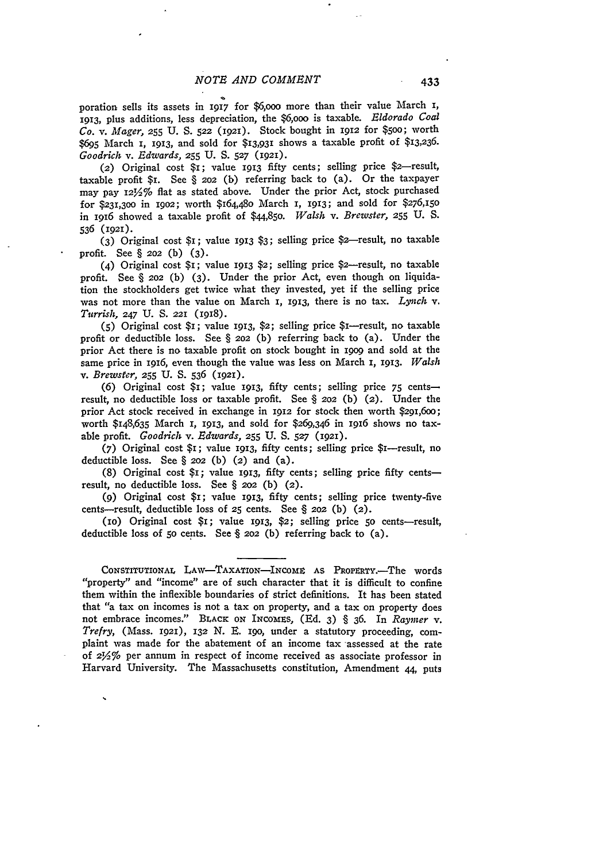poration sells its assets in 1917 for **\$6,ooo** more than their value March **i, i913,** plus additions, less depreciation, the \$6,ooo is taxable. *Eldorado Coal Co. v. Mager,* **255 U. S. 522 (1921).** Stock bought in **1912** for **\$5oo;** worth **\$695** March **I,** 1913, and sold for **\$13,931** shows a taxable profit of \$13,236. *Goodrich v. Edwards,* **255 U. S. 527** (1921).

(2) Original cost \$i; value **1913** fifty cents; selling price \$2-result, taxable profit \$i. See § **202 (b)** referring back to (a). Or the taxpayer may pay **1212%** flat as stated above. Under the prior Act, stock purchased for **\$231,300** in **19o2;** worth \$I64,48o March **I,** 1913; and sold for \$276,150 in 1916 showed a taxable profit **of \$44,850.** *Walsh v. Brewster,* **255 U. S. 536 (i92I).**

(3) Original cost  $x_i$ ; value 1913  $x_i$ ; selling price  $x_i$ -result, no taxable profit. See § **202** (b) (3).

(4) Original cost \$1; value 1913 \$2; selling price \$2-result, no taxable profit. See § **202** (b) (3). Under the prior Act, even though on liquidation the stockholders get twice what they invested, yet if the selling price was not more than the value on March **I, 1913,** there is no tax. *Lynch v. Turrish,* **247** U. **S. 221 (1918).**

(5) Original cost \$i; value 1913, **\$2;** selling price \$i-result, no taxable profit or deductible loss. See § **202** (b) referring back to (a). Under the prior Act there is no taxable profit on stock bought in i9o9 and sold at the same price in 1916, even though the value was less on March **I, 1913.** *Walsh v. Brewster,* **255** *U.* **S.** 536 **(i921).**

(6) Original cost \$i; value 1913, fifty cents; selling price **75** centsresult, no deductible loss or taxable profit. See § **202** (b) (2). Under the prior Act stock received in exchange in 1912 for stock then worth \$291,6oo; worth \$148,635 March **I,** 1913, and sold for \$269,346 in 1916 shows no taxable profit. *Goodrich v. Edwards,* **255 U. S.** *527* **(192).**

**(7)** Original cost \$i; value **1913,** fifty cents; selling price \$I-result, no deductible loss. See § **202 (b)** (2) and (a).

**(8)** Original cost **\$i;** value **1913,** fifty cents; selling price fifty centsresult, no deductible loss. See § **2o2 (b)** (2).

**(9)** Original cost **\$i;** value **1913,** fifty cents; selling price twenty-five cents-result, deductible loss **of 25** cents. See § **202 (b) (2).**

(io) Original cost \$i; value **1913,** \$2; selling price **50** cents-result, deductible loss **of 50** cents. See § **202 (b)** referring back to (a).

CONSTITUTIONAL, LAw-TAxATION-INCOME **AS** PROPtRTY.-The words "property" and "income" are of such character that it is difficult to confine them within the inflexible boundaries of strict definitions. It has been stated that "a tax on incomes is not a tax on property, and a tax on property does not embrace incomes." BLACK **ON** INCOMES, (Ed. 3) § 36. In *Raymer v. Trefry,* (Mass. 1921), **132** N. **R. 190,** under a statutory proceeding, complaint was made for the abatement of an income tax assessed at the rate of **2Y%** per annum in respect of income received as associate professor in Harvard University. The Massachusetts constitution, Amendment *44,* puts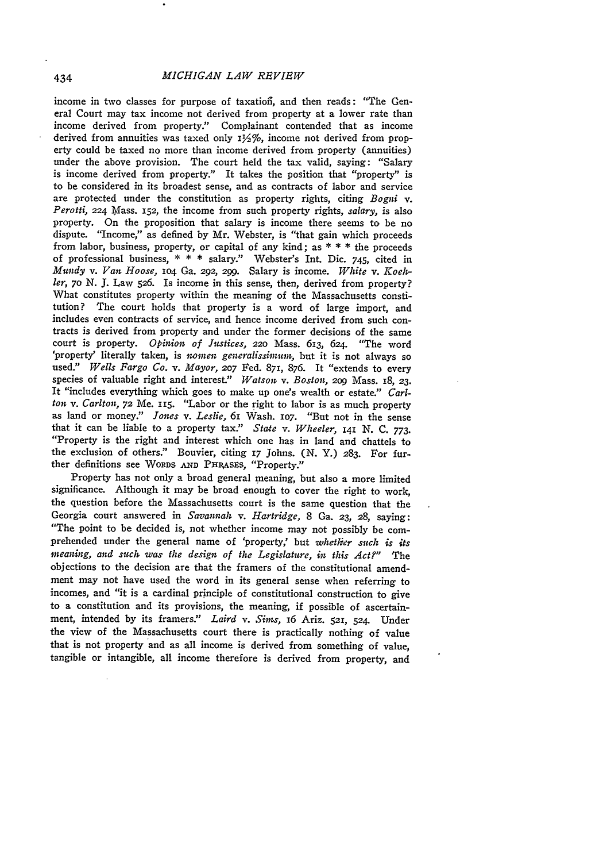income in two classes for purpose of taxation, and then reads: "The General Court may tax income not derived from property at a lower rate than income derived from property." Complainant contended that as income derived from annuities was taxed only  $I\frac{1}{2}\%$ , income not derived from property could be taxed no more than income derived from property (annuities) under the above provision. The court held the tax valid, saying: "Salary is income derived from property." It takes the position that "property" is to be considered in its broadest sense, and as contracts of labor and service are protected under the constitution as property rights, citing *Bogni v. Perotti,* 224 Mass. 152, the income from such property rights, *salary,* is also property. On the proposition that salary is income there seems to be no dispute. "Income," as defined by Mr. Webster, is "that gain which proceeds from labor, business, property, or capital of any kind; as **\* \* \*** the proceeds of professional business, **\* \* \*** salary." Webster's Int. Dic. 745, cited in *Mundy v. Van Hoose,* **lO4** Ga. 292, **299.** Salary is income. *White v. Koehler, 7o N.* J. Law 526. Is income in this sense, then, derived from property? What constitutes property within the meaning of the Massachusetts constitution? The court holds that property is a word of large import, and includes even contracts of service, and hence income derived from such contracts is derived from property and under the former decisions of the same court is property. *Opinion of Justices,* 220 Mass. 613, 624. "The word 'property' literally taken, is *nomen generalissimun,* but it is not always so used." *Wells Fargo Co. v. Mayor,* **207** Fed. 871, 876. It "extends to every species of valuable right and interest." *Watson v. Boston,* **209** Mass. 18, **23.** It "includes everything which goes to make up one's wealth or estate." *Carlton v. Carlton,* **72** Me. **115.** "Labor or the right to labor is as much property as land or money." *Jones v. Leslie,* 61 Wash. io7. "But not in the sense that it can be liable to a property tax." *State v. Wheeler, 14x N. C.* **773.** "Property is the right and interest which one has in land and chattels to the exclusion of others." Bouvier, citing **17** Johns. (N. Y.) 283. For further definitions see WORDS **AND PHRASES,** "Property."

Property has not only a broad general meaning, but also a more limited significance. Although it may be broad enough to cover the right to work, the question before the Massachusetts court is the same question that the Georgia court answered in *Savannah v. Hartridge,* 8 Ga. **23,** 28, saying: "The point to be decided is, not whether income may not possibly be comprehended under the general name of 'property,' but *whether such is its meaning, and such was the design of the Legislature, in this Act?"* The objections to the decision are that the framers of the constitutional amendment may not have used the word in its general sense when referring to incomes, and "it is a cardinal principle of constitutional construction to give to a constitution and its provisions, the meaning, if possible of ascertainment, intended by its framers." *Laird v. Sins,* 16 Ariz. 521, 524. Under the view of the Massachusetts court there is practically nothing of value that is not property and as all income is derived from something of value, tangible or intangible, all income therefore is derived from property, and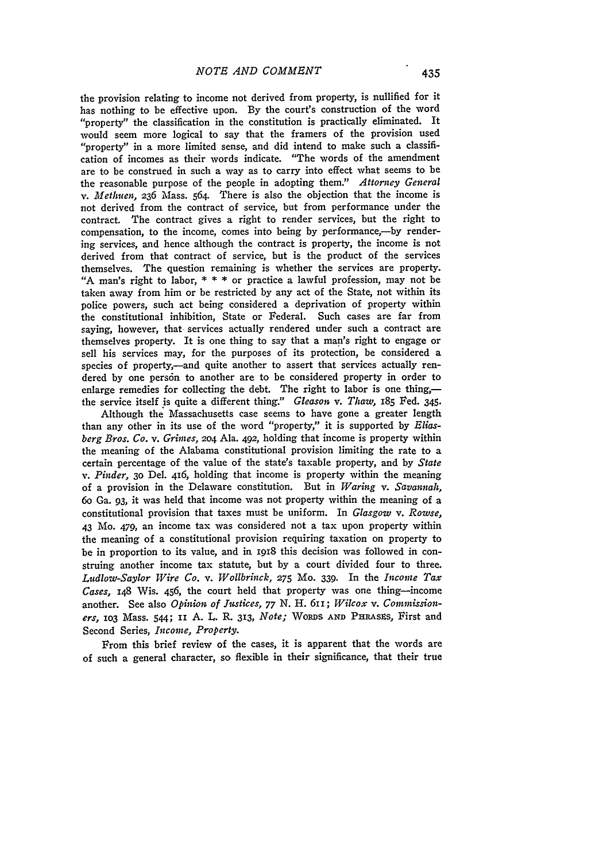the provision relating to income not derived from property, is nullified for it has nothing to be effective upon. **By** the court's construction of the word "property" the classification in the constitution is practically eliminated. It would seem more logical to say that the framers of the provision used "property" in a more limited sense, and did intend to make such a classification of incomes as their words indicate. "The words of the amendment are to be construed in such a way as to carry into effect what seems to be the reasonable purpose of the people in adopting them." *Attorney General v. Methiuel,* **236** Mass. 564. There is also the objection that the income is not derived from the contract of service, but from performance under the contract. The contract gives a right to render services, but the right to compensation, to the income, comes into being **by** performance,-by rendering services, and hence although the contract is property, the income is not derived from that contract of service, but is the product of the services themselves. The question remaining is whether the services are property. **"A** man's right to labor, **\* \* \*** or practice a lawful profession, may not be taken away from him or be restricted **by** any act of the State, **not** within its police powers, such act being considered a deprivation of property within the constitutional inhibition, State or Federal. Such cases are far from saying, however, that services actually rendered under such a contract are themselves property. It is one thing to say that a man's right to engage or sell his services may, for the purposes of its protection, be considered a species of property,-and quite another to assert that services actually rendered by one pers6n to another are to **be** considered property in order to enlarge remedies for collecting the debt. The right to labor is one thing,the service itself is quite a different thing." *Gleasont v. Thaw,* 185 Fed. 345.

Although the Massachusetts case seems to have gone a greater length than any other in its use of the word "property," it is supported by *Eliasberg Bros. Co. v. Grimes,* 2o4 Ala. 492, holding that income is property within the meaning of the Alabama constitutional provision limiting the rate to a certain percentage of the value of the state's taxable property, and by *State v. Pinder,* 3o Del. 416, holding that income is property within the meaning of a provision in the Delaware constitution. But in *Waring v. Savannah,* 6o Ga. **93,** it was held that income was not property within the meaning of a constitutional provision that taxes must be uniform. In *Glasgow v. Rowse,* 43 Mo. 479, an income tax was considered not a tax upon property within the meaning of a constitutional provision requiring taxation on property to be in proportion to its value, and in 1918 this decision was followed in construing another income tax statute, but by a court divided four to three. *Ludlow-Saylor Wire Co. v. Wollbrinck,* **275** Mo. **339.** In the *Income Tax Cases,* 148 Wis. 456, the court held that property was one thing-income another. See also *Opinion of Justices, 77* **N.** H. 611; *Wilcox v. Commissioners,* **1O3** Mass. 544; **1I A.** L. R. 313, *Note; WoRDs* **AND** PHRAsis, First and Second Series, *Income, Property.*

From this brief review of the cases, it is apparent that the words are of such a general character, so flexible in their significance, that their true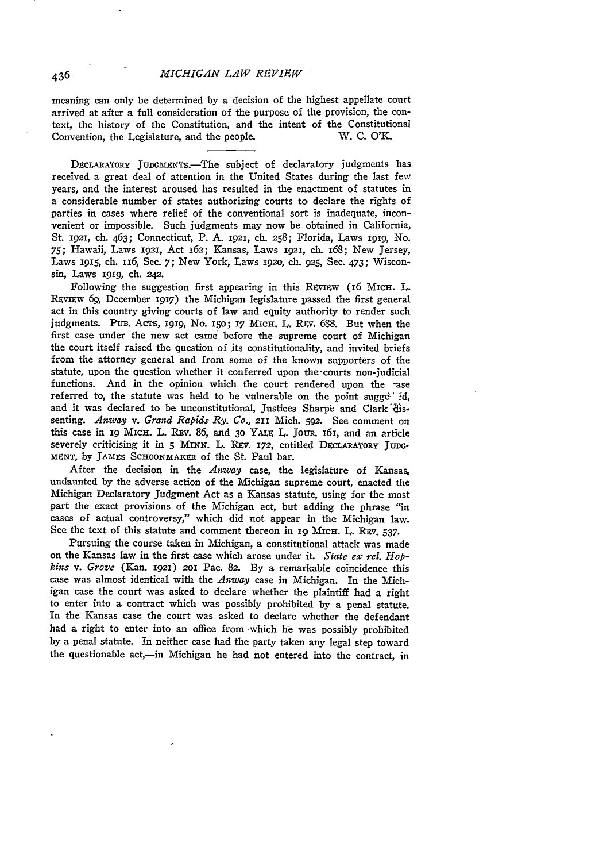meaning can only be determined by a decision of the highest appellate court arrived at after a full consideration of the purpose of the provision, the context, the history of the Constitution, and the intent of the Constitutional Convention, the Legislature, and the people. W. C. O'K.

DECLARATORY JUDGMENTS.-The subject of declaratory judgments has received a great deal of attention in the United States during the last few years, and the interest aroused has resulted in the enactment of statutes in a considerable number of states authorizing courts to declare the rights of parties in cases where relief of the conventional sort is inadequate, inconvenient or impossible. Such judgments may now be obtained in California, St **I92I,** ch. 463; Connecticut, P. A. **i92I,** ch. 258; Florida, Laws **1919,** No. 75; Hawaii, Laws 1921, Act *162;* Kansas, Laws **1921,** cl. 168; New Jersey, Laws 1915, ch. **116,** Sec. *7;* New York, Laws 1920, ch. **925,** See. 473; Wisconsin, Laws *1919,* ch. *242.*

Following the suggestion first appearing in this Review (16 MICH. L. REVIEW 69, December 1917) the Michigan legislature passed the first general act in this country giving courts of law and equity authority to render such judgments. PUB. AcTS, 1919, No. 150; 17 MICH. L. REV. 688. But when the first case under the new act came' before the supreme court of Michigan the court itself raised the question of its constitutionality, and invited briefs from the attorney general and from some of the known supporters of the statute, upon the question whether it conferred upon the-courts non-judicial functions. And in the opinion which the court rendered upon the -ase referred to, the statute was held to be vulnerable on the point sugge  $id_i$ and it was declared to be unconstitutional, Justices Sharpe and Clark dissenting. *Anway v. Grand Rapids Ry. Co.,* 211 Mich. **592.** See comment on this case in 19 MICH. L. REV. 86, and 30 YALE L. JOUR. 161, and an article severely criticising it in 5 MINN. L. REV. 172, entitled DECLARATORY JUDG. MENT, by JAMES SCHOONMAKER of the St. Paul bar.

After the decision in the *Anway* case, the legislature of Kansas, undaunted by the adverse action of the Michigan supreme court, enacted the Michigan Declaratory Judgment Act as a Kansas statute, using for the most part the exact provisions of the Michigan act, but adding the phrase "in cases of actual controversy," which did not appear in the Michigan law. See the text of this statute and comment thereon in 19 MICH. L. REV. 537.

Pursuing the course taken in Michigan, a constitutional attack was made on the Kansas law in the first case which arose under it. *State ex rel. Hopkins v. Grove* (Kan. *1921)* **2O** Pac. 82. By a remarkable coincidence this case was almost identical with the *Anway* case in Michigan. In the Michigan case the court was asked to declare whether the plaintiff had a right to enter into a contract which was possibly prohibited by a penal statute. In the Kansas case the court was asked to declare whether the defendant had a right to enter into an office from -which he was possibly prohibited by a penal statute. In neither case had the party taken any legal step toward the questionable act,-in Michigan he had not entered into the contract, in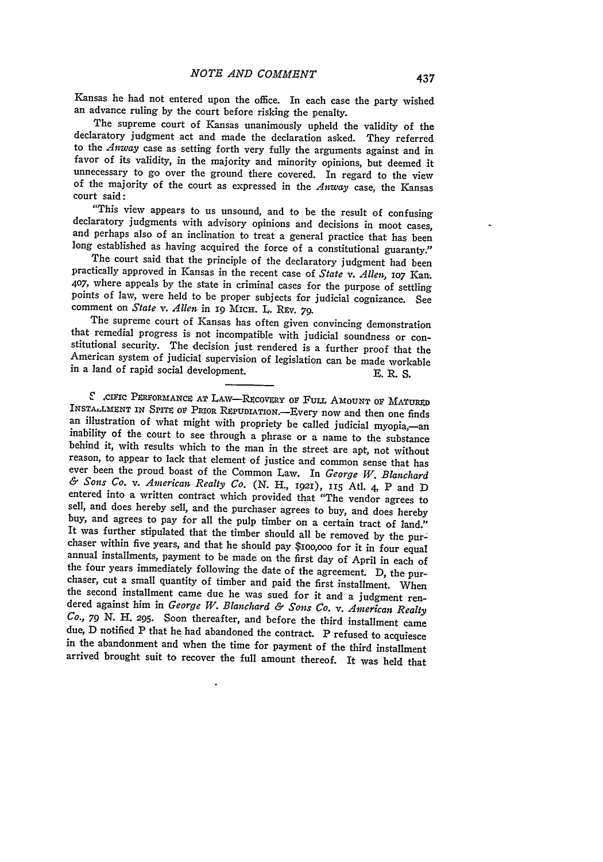Kansas he had not entered upon the office. In each case the party wished an advance ruling by the court before risking the penalty.

The supreme court of Kansas unanimously upheld the validity of the declaratory judgment act and made the declaration asked. They referred to the *Anway* case as setting forth very fully the arguments against and in favor of its validity, in the majority and minority opinions, but deemed it unnecessary to go over the ground there covered. In regard to the view of the majority of the court as expressed in the *Anway* case, the Kansas court said:

"This view appears to us unsound, and to be the result of confusing<br>declaratory judgments with advisory opinions and decisions in moot cases,<br>and perhaps also of an inclination to treat a general practice that has been<br>lo comment on *State v. Allen* in 19 MICH. L. REV. 79.

The supreme court of Kansas has often given convincing demonstration that remedial progress is not incompatible with judicial soundness or constitutional security. The decision just rendered is a further proof that the American system of judicial supervision of legislation can be made workable<br>in a land of rapid social development. E.R.S.

S CIFIC PERFORMANCE AT LAW—RECOVERY OF FULL AMOUNT OF MATURED<br>INSTALLMENT IN SPITE OF PRIOR REPUDIATION.—Every now and then one finds<br>an illustration of what might with propriety be called judicial myopia,—an<br>inability of behind it, with results which to the man in the street are apt, not without reason, to appear to lack that element of justice and common sense that has reason, to appear to lack that element of justice and common sease that has<br>ever been the proud boast of the Common Law. In *George W. Blanchard*<br> $\φ$  Sons Co. v. American Realty Co. (N. H., 1921), 115 Atl. 4, P and D<br>en in the abandonment and when the time for payment of the third installment<br>arrived brought suit to recover the full amount thereof. It was held that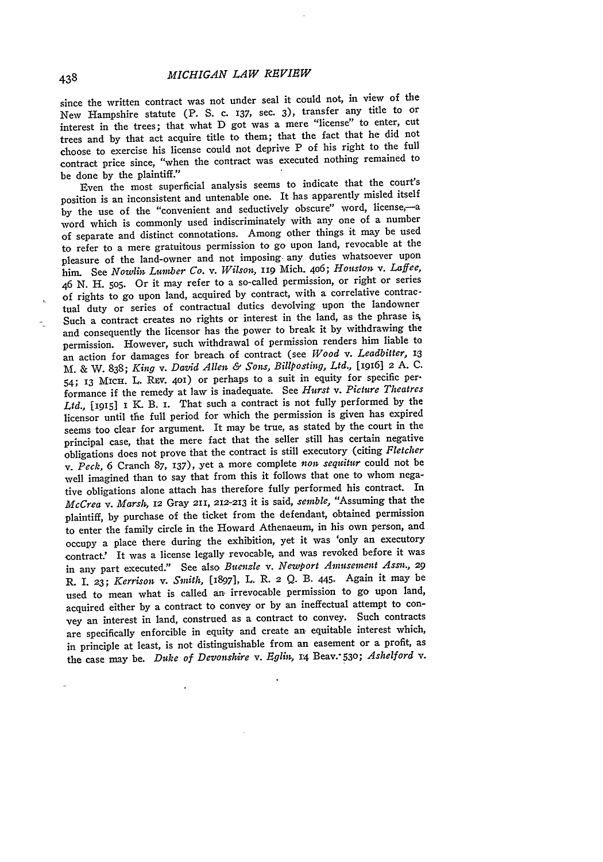since the written contract was not under seal it could not, in view of the New Hampshire statute (P. S. c. 137, sec. 3), transfer any title to or interest in the trees; that what D got was a mere "license" to enter, cut trees and by that act acquire title to them; that the fact that he did not choose to exercise his license could not deprive P of his right to the full contract price since, "when the contract was executed nothing remained to be done by the plaintiff."

Even the most superficial analysis seems to indicate that the court's position is an inconsistent and untenable one. It has apparently misled itself by the use of the "convenient and seductively obscure" word, license,-a word which is commonly used indiscriminately with any one of a number of separate and distinct connotations. Among other things it may be used to refer to a mere gratuitous permission to go upon land, revocable at the pleasure of the land-owner and not imposing- any duties whatsoever upon him. See *Nowlin Lumber Co. v. Wilson,* **ii9** Mich. 406; *Houston v. Laffee,* <sup>46</sup>**N.** H. **505.** Or it may refer to a so-called permission, or right or series of rights to go upon land, acquired by contract, with a correlative contractual duty or series of contractual duties devolving upon the landowner Such a contract creates no rights or interest in the land, as the phrase is, and consequently the licensor has the power to break it by withdrawing the permission. However, such withdrawal of permission renders him liable to an action for damages for breach of contract (see *Wood v. Leadbitter, 13* M. & W. 838; *King v. David Allen & Sons, Billposting, Ltd.,* [i916] 2 **A.** C. 54; **13** MicH. L. REv. 4oi) or perhaps to a suit in equity for specific performance if the remedy at law is inadequate. See *Hurst v. Picture Theatres* Ltd., [1915] I K. B. I. That such a contract is not fully performed by the licensor until the full period for which the permission is given has expired seems too clear for argument. It may be true, as stated by the court in the principal case, that the mere fact that the seller still has certain negative obligations does not prove that the contract is still executory (citing *Fletcher v. Peck,* 6 Cranch 87, **137),** yet a more complete *non sequitur* could not be well imagined than to say that from this it follows that one to whom negative obligations alone attach has therefore fully performed his contract. In *McCrea v. Marsh,* 12 Gray 211, **212-213** it is said, *semble,* "Assuming that the plaintiff, by purchase of the ticket from the defendant, obtained permission to enter the family circle in the Howard Athenaeum, in his own person, and occupy a place there during the exhibition, yet it was 'only an executory contract.' It was a license legally revocable, and was revoked before it was in any part executed." See also *Buensle v. Newport Amusement Astm., <sup>29</sup>* R. I. **23;** *Kerrison v. Smith,* [1897], L. R. 2 Q. B. 445. Again it may be used to mean what is called an irrevocable permission to go upon land, acquired either by a contract to convey or by an ineffectual attempt to convey an interest in land, construed as a contract to convey. Such contracts are specifically enforcible in equity and create an equitable interest which, in principle at least, is not distinguishable from an easement or a profit, as the case may be. *Duke of Devonshire v. Eglin,* **14** Beav.-530; *Ashelford v.*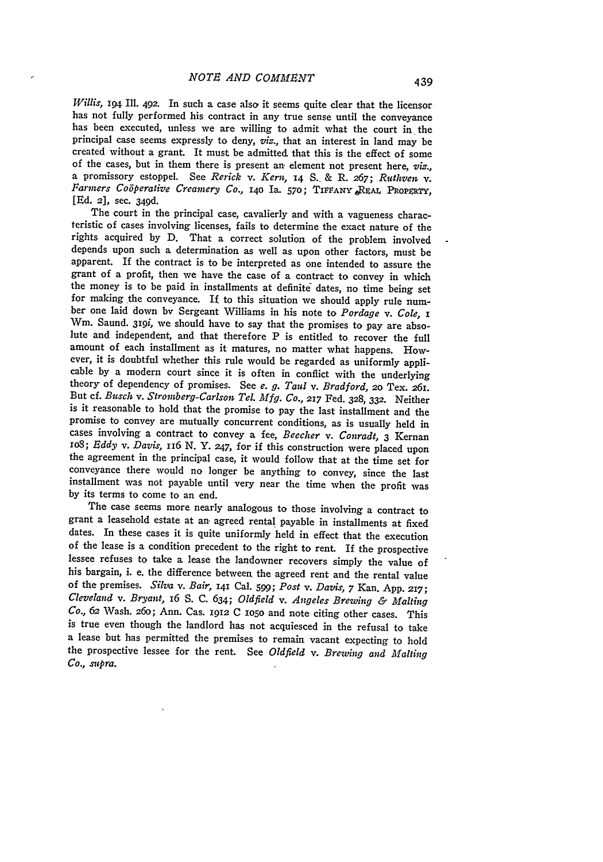*Willis,* 194 Ill. 492. In such a case also it seems quite clear that the licensor has not fully performed his contract in any true sense until the conveyance has been executed, unless we are willing to admit what the court in the principal case seems expressly to deny, *viz.,* that an interest in land may be created without a grant. It must be admitted that this is the effect of some<br>of the cases, but in them there is present an element not present here, viz.,<br>a promissory estoppel. See *Rerick* v. *Kern*, 14 S. & R. 267; *Rut* **[Ed.** 2], sec. 349d.

The court in the principal case, cavalierly and with a vagueness characteristic of cases involving licenses, fails to determine the exact nature of the rights acquired by D. That a correct solution of the problem involved depends upon such a determination as well as upon other factors, must be apparent. If the contract is to be interpreted as one intended to assure the grant of a profit, then we have the case of a contract to convey in which the money is to be paid in installments at definite dates, no time being set for making the conveyance. If to this situation we should apply rule num- ber one laid down by Sergeant Williams in his note to *Pordage v. Cole, i* Wm. Saund. 319i, we should have to say that the promises to pay are absolute and independent, and that therefore P is entitled to recover the full amount of each installment as it matures, no matter what happens. How-<br>ever, it is doubtful whether this rule would be regarded as uniformly applicable by a modern court since it is often in conflict with the underlying theory of dependency of promises. See  $e$ .  $g$ . Taul v. Bradford, 20 Tex. 261. But cf. *Busch v. Stromberg-Carlson Tel. Mfg. Co., 217* Fed. 328, **332.** Neither is it reasonable to hold that the promise to pay the last installment and the promise to convey are mutually concurrent conditions, as is usually held in cases involving a contract to convey a fee, *Beecher v. Conradt,* 3 Kernan roS; *Eddy v. Davis, 1i6 N.* Y. 247, for if this construction were placed upon the agreement in the principal case, it would follow that at the time set for conveyance there would no longer be anything to convey, since the last installment was not payable until very near the time when the profit was **by** its terms to come to an end.

The case seems more nearly analogous to those involving a contract to grant a leasehold estate at an, agreed rental payable in installments at fixed dates. In these cases it is quite uniformly held in effect that the execution of the lease is a condition precedent to the right to rent. If the prospective lessee refuses to take a lease the landowner recovers simply the value of his bargain, i. e. the difference between, the agreed rent and the rental value of the premises. *Silva v. Bair,* **141** Cal. **599;** *Post v. Davis,* **7** Kan. App. **217;** *Cleveland v. Bryant, 16* S. C. 634; *Oldfield v. Angeles Brewing & Malting Co., 62* Wash. 260; Ann. Cas. i9r2 **C** io5o and note citing other cases. This is true even though the landlord has not acquiesced in the refusal to take a lease but has permitted the premises to remain vacant expecting to hold the prospective lessee for the rent. See *Oldfield v. Brewing and Malting Co., supra.*